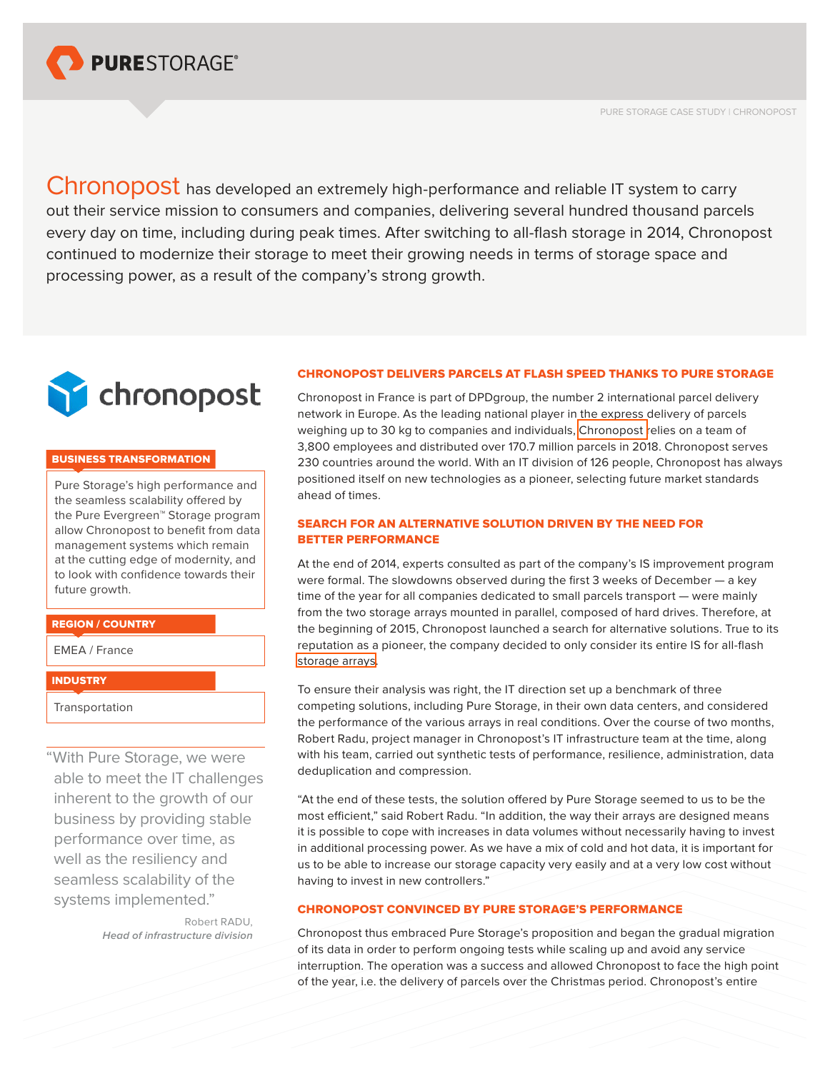

PURE STORAGE CASE STUDY | CHRONOPOST

Chronopost has developed an extremely high-performance and reliable IT system to carry out their service mission to consumers and companies, delivering several hundred thousand parcels every day on time, including during peak times. After switching to all-flash storage in 2014, Chronopost continued to modernize their storage to meet their growing needs in terms of storage space and processing power, as a result of the company's strong growth.



## BUSINESS TRANSFORMATION

Pure Storage's high performance and the seamless scalability offered by the Pure Evergreen™ Storage program allow Chronopost to benefit from data management systems which remain at the cutting edge of modernity, and to look with confidence towards their future growth.

#### REGION / COUNTRY

EMEA / France

#### **INDUSTRY**

Transportation

"With Pure Storage, we were able to meet the IT challenges inherent to the growth of our business by providing stable performance over time, as well as the resiliency and seamless scalability of the systems implemented."

> Robert RADU, *Head of infrastructure division*

# CHRONOPOST DELIVERS PARCELS AT FLASH SPEED THANKS TO PURE STORAGE

Chronopost in France is part of DPDgroup, the number 2 international parcel delivery network in Europe. As the leading national player in the express delivery of parcels weighing up to 30 kg to companies and individuals, [Chronopost r](https://www.chronopost.fr/en)elies on a team of 3,800 employees and distributed over 170.7 million parcels in 2018. Chronopost serves 230 countries around the world. With an IT division of 126 people, Chronopost has always positioned itself on new technologies as a pioneer, selecting future market standards ahead of times.

# SEARCH FOR AN ALTERNATIVE SOLUTION DRIVEN BY THE NEED FOR BETTER PERFORMANCE

At the end of 2014, experts consulted as part of the company's IS improvement program were formal. The slowdowns observed during the first 3 weeks of December — a key time of the year for all companies dedicated to small parcels transport — were mainly from the two storage arrays mounted in parallel, composed of hard drives. Therefore, at the beginning of 2015, Chronopost launched a search for alternative solutions. True to its reputation as a pioneer, the company decided to only consider its entire IS for all-flash [storage arrays](https://www.purestorage.com/products.html).

To ensure their analysis was right, the IT direction set up a benchmark of three competing solutions, including Pure Storage, in their own data centers, and considered the performance of the various arrays in real conditions. Over the course of two months, Robert Radu, project manager in Chronopost's IT infrastructure team at the time, along with his team, carried out synthetic tests of performance, resilience, administration, data deduplication and compression.

"At the end of these tests, the solution offered by Pure Storage seemed to us to be the most efficient," said Robert Radu. "In addition, the way their arrays are designed means it is possible to cope with increases in data volumes without necessarily having to invest in additional processing power. As we have a mix of cold and hot data, it is important for us to be able to increase our storage capacity very easily and at a very low cost without having to invest in new controllers."

## CHRONOPOST CONVINCED BY PURE STORAGE'S PERFORMANCE

Chronopost thus embraced Pure Storage's proposition and began the gradual migration of its data in order to perform ongoing tests while scaling up and avoid any service interruption. The operation was a success and allowed Chronopost to face the high point of the year, i.e. the delivery of parcels over the Christmas period. Chronopost's entire